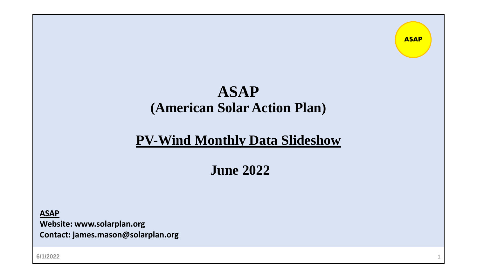### **ASAP (American Solar Action Plan)**

**ASAP**

### **PV-Wind Monthly Data Slideshow**

### **June 2022**

**ASAP**

**Website: www.solarplan.org Contact: james.mason@solarplan.org**

**6/1/2022** 1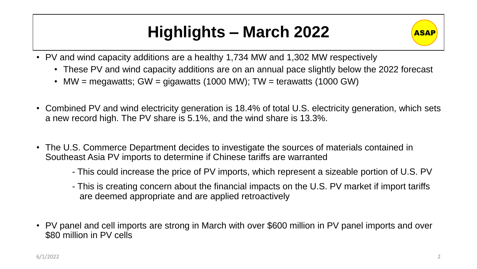# **Highlights – March 2022**



- PV and wind capacity additions are a healthy 1,734 MW and 1,302 MW respectively
	- These PV and wind capacity additions are on an annual pace slightly below the 2022 forecast
	- MW = megawatts; GW = gigawatts (1000 MW); TW = terawatts (1000 GW)
- Combined PV and wind electricity generation is 18.4% of total U.S. electricity generation, which sets a new record high. The PV share is 5.1%, and the wind share is 13.3%.
- The U.S. Commerce Department decides to investigate the sources of materials contained in Southeast Asia PV imports to determine if Chinese tariffs are warranted
	- This could increase the price of PV imports, which represent a sizeable portion of U.S. PV
	- This is creating concern about the financial impacts on the U.S. PV market if import tariffs are deemed appropriate and are applied retroactively
- PV panel and cell imports are strong in March with over \$600 million in PV panel imports and over \$80 million in PV cells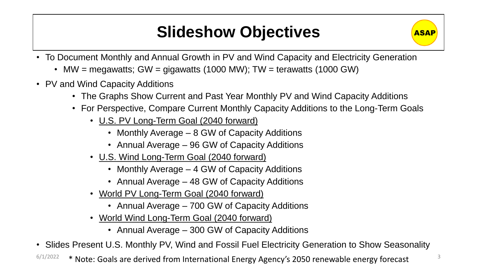# **Slideshow Objectives**



- MW = megawatts; GW = gigawatts (1000 MW); TW = terawatts (1000 GW)
- PV and Wind Capacity Additions
	- The Graphs Show Current and Past Year Monthly PV and Wind Capacity Additions
	- For Perspective, Compare Current Monthly Capacity Additions to the Long-Term Goals
		- U.S. PV Long-Term Goal (2040 forward)
			- Monthly Average 8 GW of Capacity Additions
			- Annual Average 96 GW of Capacity Additions
		- U.S. Wind Long-Term Goal (2040 forward)
			- Monthly Average 4 GW of Capacity Additions
			- Annual Average 48 GW of Capacity Additions
		- World PV Long-Term Goal (2040 forward)
			- Annual Average 700 GW of Capacity Additions
		- World Wind Long-Term Goal (2040 forward)
			- Annual Average 300 GW of Capacity Additions

• Slides Present U.S. Monthly PV, Wind and Fossil Fuel Electricity Generation to Show Seasonality

 $6/1/2022$   $*$  Note: Goals are derived from International Energy Agency's 2050 renewable energy forecast  $3/2$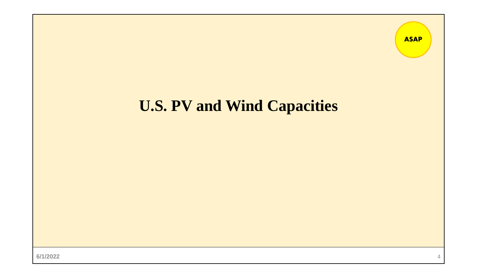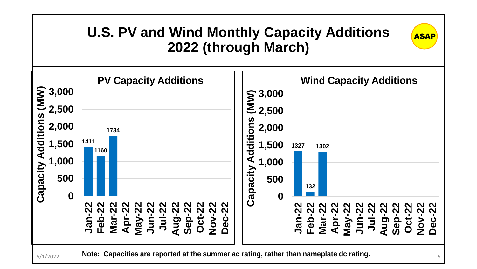# **U.S. PV and Wind Monthly Capacity Additions ASAP 2022 (through March)**

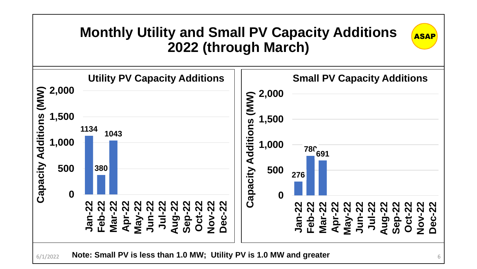### **Monthly Utility and Small PV Capacity Additions 2022 (through March)**

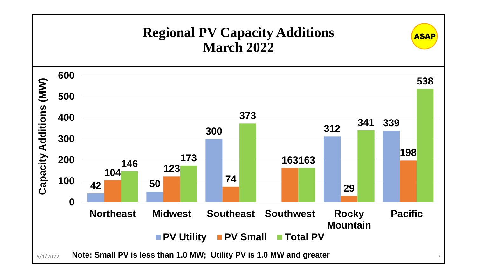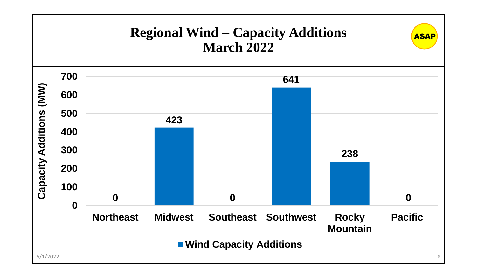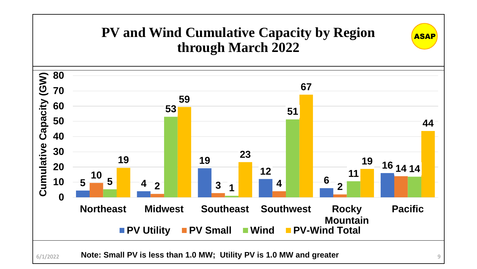### **PV and Wind Cumulative Capacity by Region through March 2022**

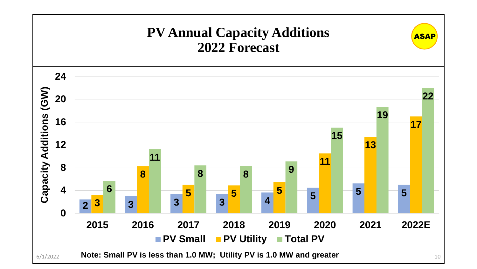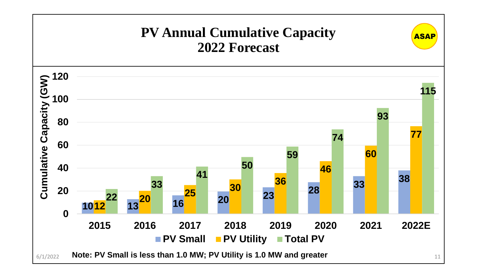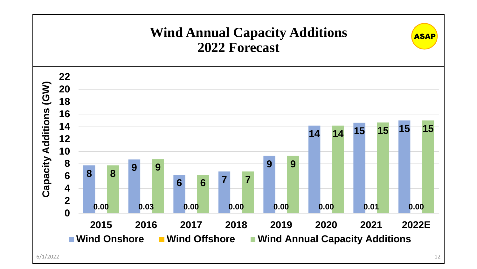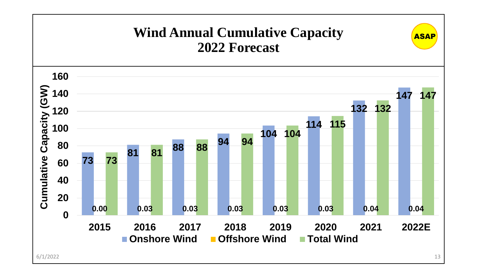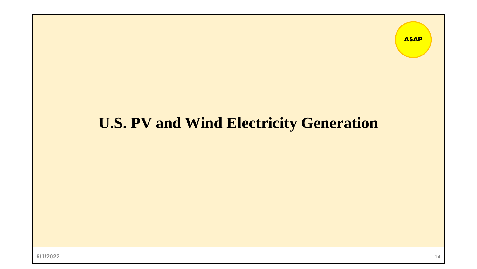# **U.S. PV and Wind Electricity Generation**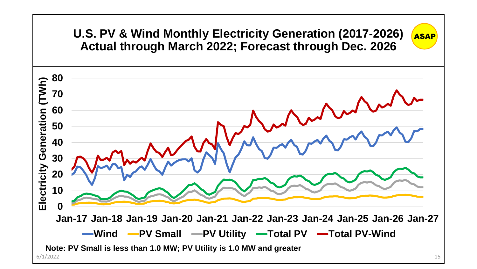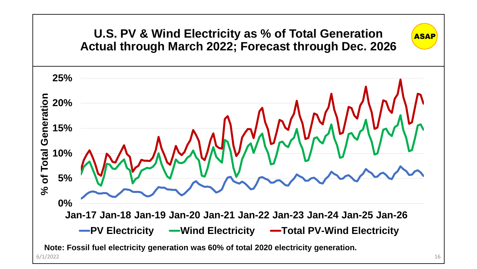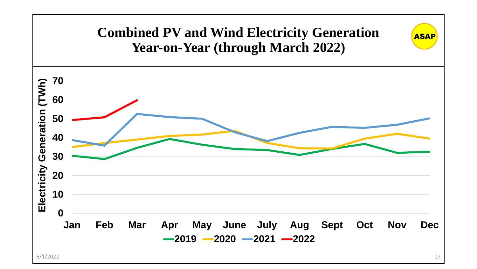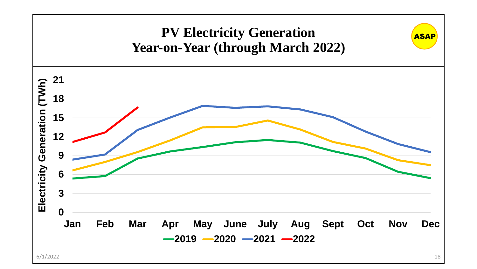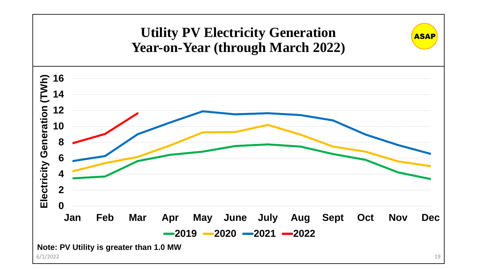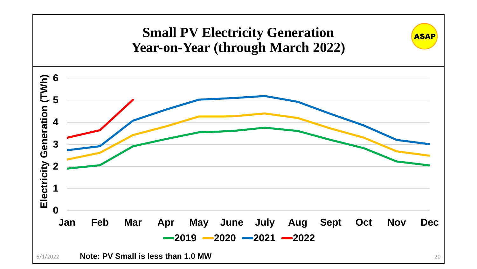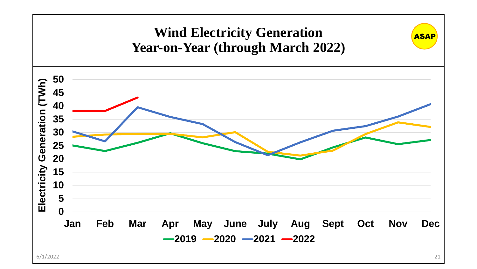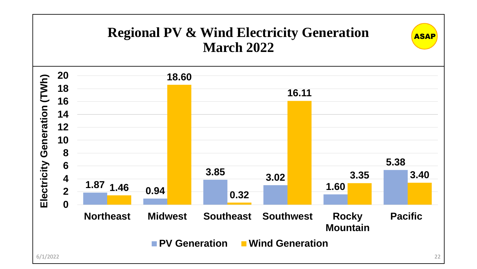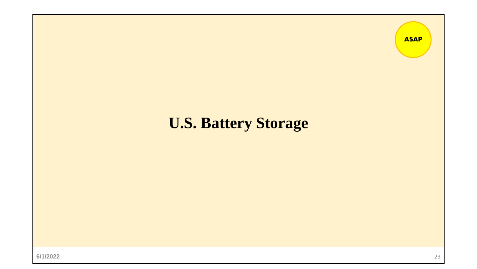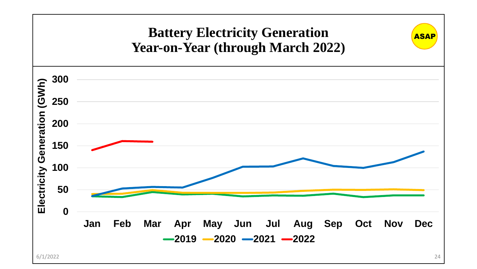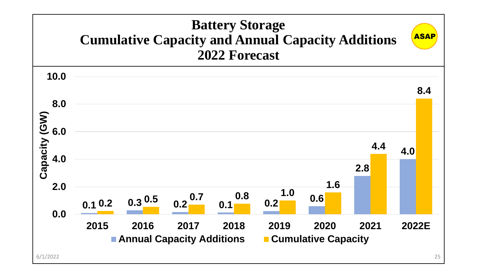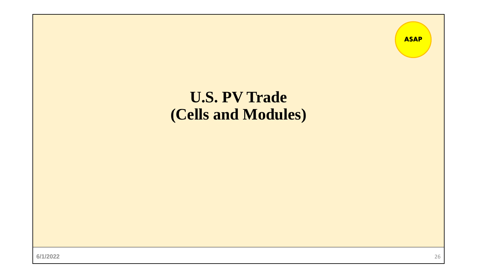

**6/1/2022** 26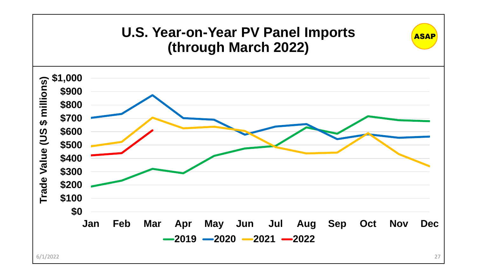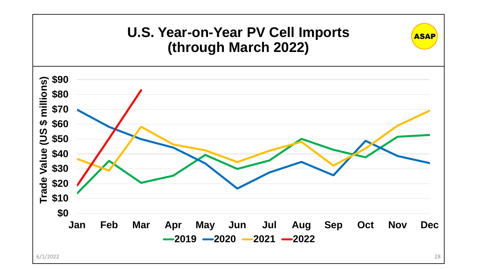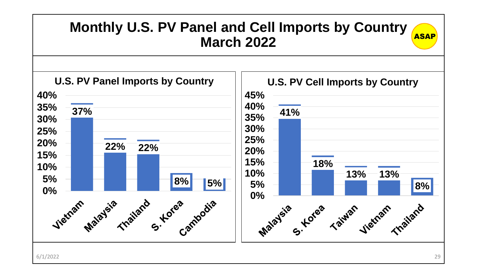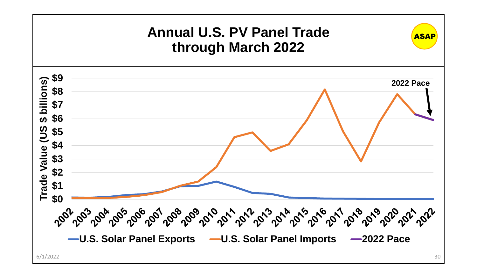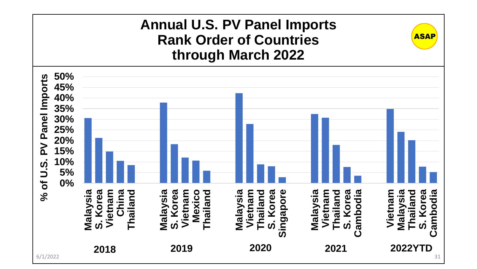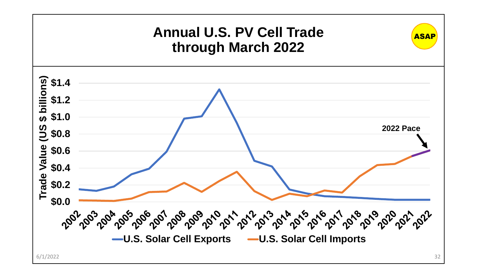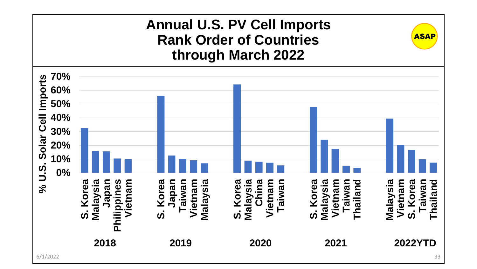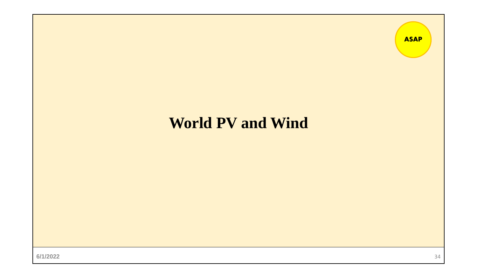#### **ASAP**

## **World PV and Wind**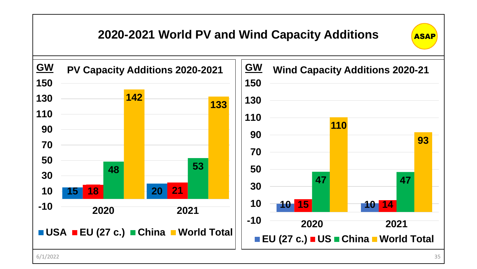### **2020-2021 World PV and Wind Capacity Additions**







6/1/2022 35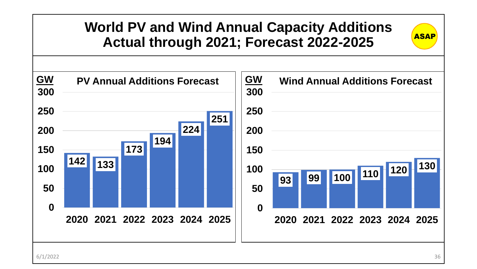### **World PV and Wind Annual Capacity Additions Actual through 2021; Forecast 2022-2025**

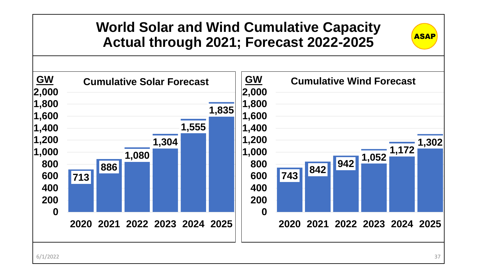### **World Solar and Wind Cumulative Capacity Actual through 2021; Forecast 2022-2025**

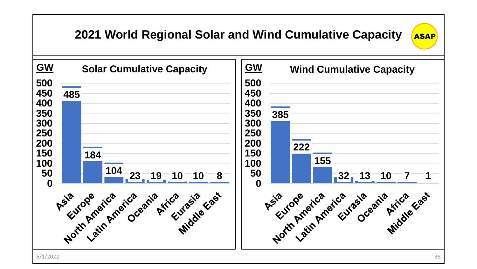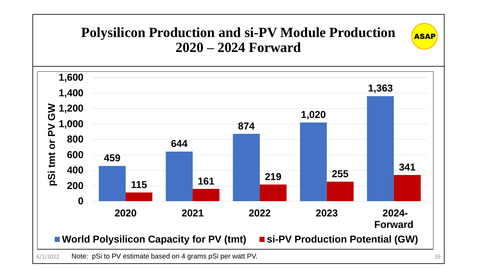### **Polysilicon Production and si-PV Module Production 2020 – 2024 Forward**

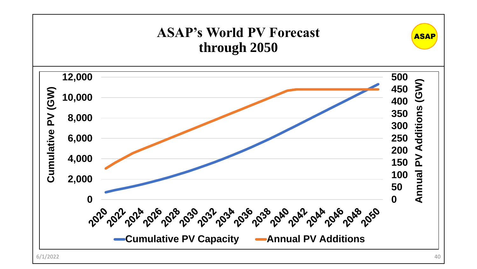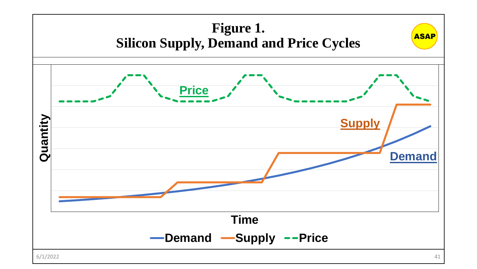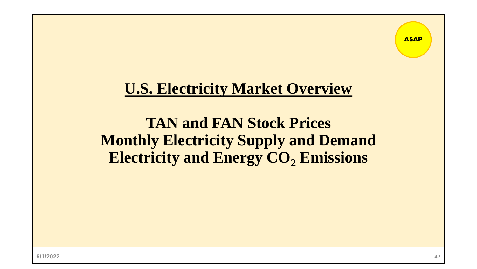## **U.S. Electricity Market Overview**

## **TAN and FAN Stock Prices Monthly Electricity Supply and Demand Electricity and Energy CO<sup>2</sup> Emissions**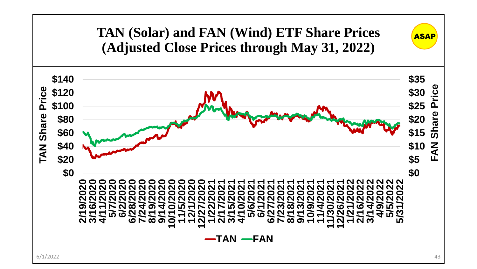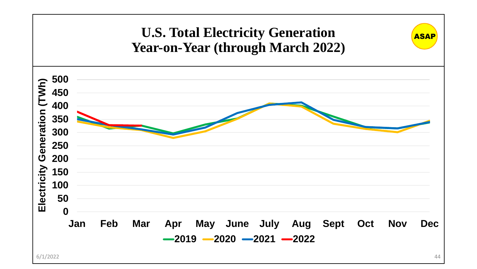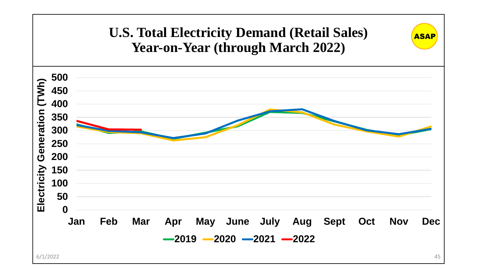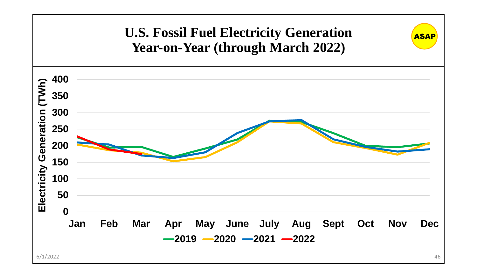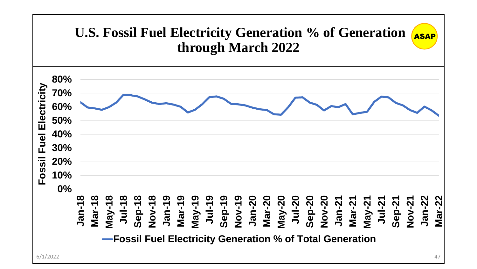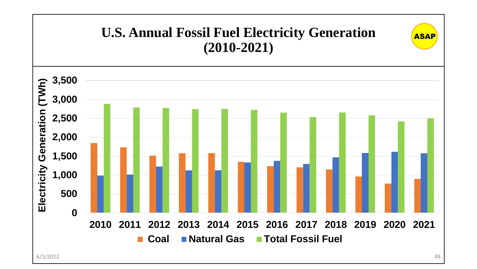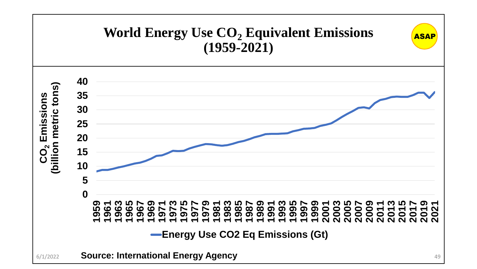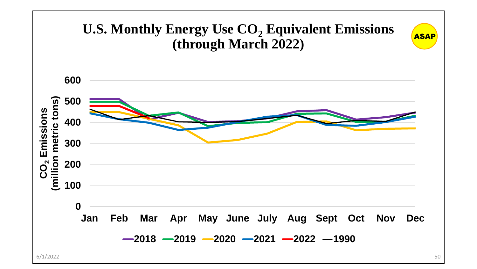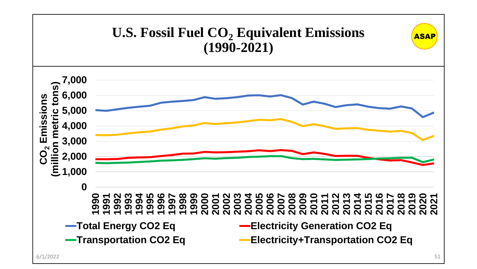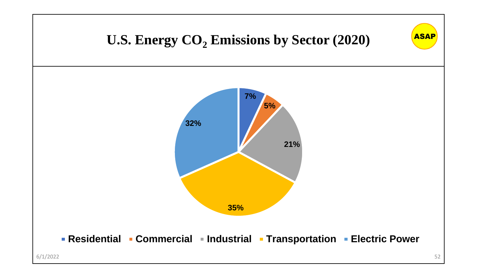